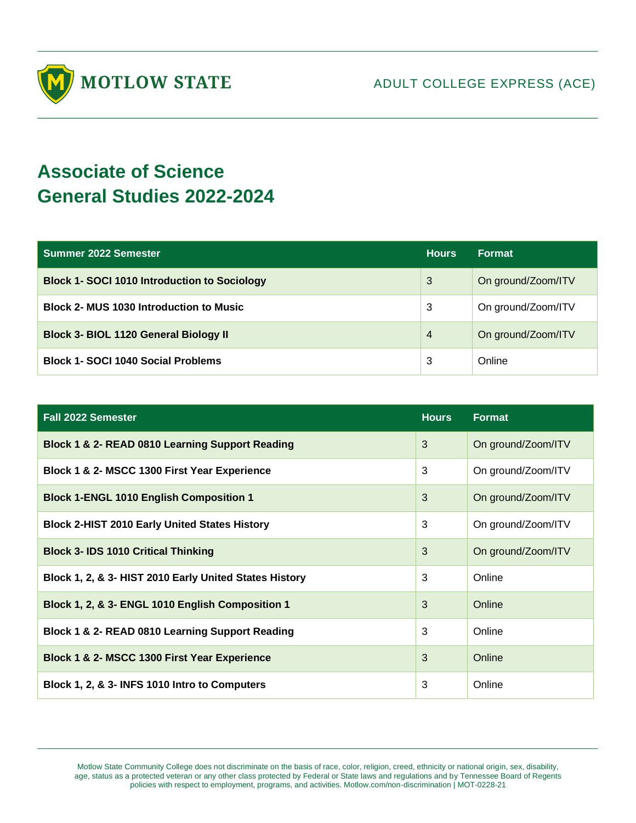

## **Associate of Science General Studies 2022-2024**

| <b>Summer 2022 Semester</b>                         | <b>Hours</b>   | <b>Format</b>      |
|-----------------------------------------------------|----------------|--------------------|
| <b>Block 1- SOCI 1010 Introduction to Sociology</b> | 3              | On ground/Zoom/ITV |
| <b>Block 2- MUS 1030 Introduction to Music</b>      | 3              | On ground/Zoom/ITV |
| <b>Block 3- BIOL 1120 General Biology II</b>        | $\overline{4}$ | On ground/Zoom/ITV |
| <b>Block 1- SOCI 1040 Social Problems</b>           | 3              | Online             |

| <b>Fall 2022 Semester</b>                              | <b>Hours</b> | <b>Format</b>      |
|--------------------------------------------------------|--------------|--------------------|
| Block 1 & 2- READ 0810 Learning Support Reading        | 3            | On ground/Zoom/ITV |
| Block 1 & 2- MSCC 1300 First Year Experience           | 3            | On ground/Zoom/ITV |
| <b>Block 1-ENGL 1010 English Composition 1</b>         | 3            | On ground/Zoom/ITV |
| <b>Block 2-HIST 2010 Early United States History</b>   | 3            | On ground/Zoom/ITV |
| <b>Block 3- IDS 1010 Critical Thinking</b>             | 3            | On ground/Zoom/ITV |
| Block 1, 2, & 3- HIST 2010 Early United States History | 3            | Online             |
| Block 1, 2, & 3- ENGL 1010 English Composition 1       | 3            | Online             |
| Block 1 & 2- READ 0810 Learning Support Reading        | 3            | Online             |
| Block 1 & 2- MSCC 1300 First Year Experience           | 3            | Online             |
| Block 1, 2, & 3- INFS 1010 Intro to Computers          | 3            | Online             |

Motlow State Community College does not discriminate on the basis of race, color, religion, creed, ethnicity or national origin, sex, disability, age, status as a protected veteran or any other class protected by Federal or State laws and regulations and by Tennessee Board of Regents policies with respect to employment, programs, and activities. Motlow.com/non-discrimination | MOT-0228-21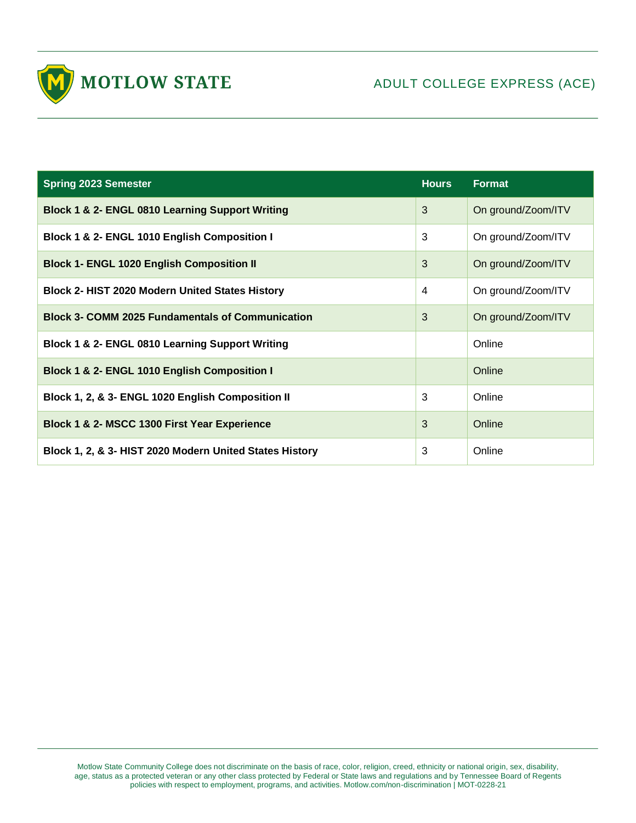

| <b>Spring 2023 Semester</b>                             | <b>Hours</b>   | <b>Format</b>      |
|---------------------------------------------------------|----------------|--------------------|
| Block 1 & 2- ENGL 0810 Learning Support Writing         | 3              | On ground/Zoom/ITV |
| Block 1 & 2- ENGL 1010 English Composition I            | 3              | On ground/Zoom/ITV |
| <b>Block 1- ENGL 1020 English Composition II</b>        | 3              | On ground/Zoom/ITV |
| <b>Block 2- HIST 2020 Modern United States History</b>  | $\overline{4}$ | On ground/Zoom/ITV |
| <b>Block 3- COMM 2025 Fundamentals of Communication</b> | 3              | On ground/Zoom/ITV |
| Block 1 & 2- ENGL 0810 Learning Support Writing         |                | Online             |
| Block 1 & 2- ENGL 1010 English Composition I            |                | Online             |
| Block 1, 2, & 3- ENGL 1020 English Composition II       | 3              | Online             |
| Block 1 & 2- MSCC 1300 First Year Experience            | 3              | Online             |
| Block 1, 2, & 3- HIST 2020 Modern United States History | 3              | Online             |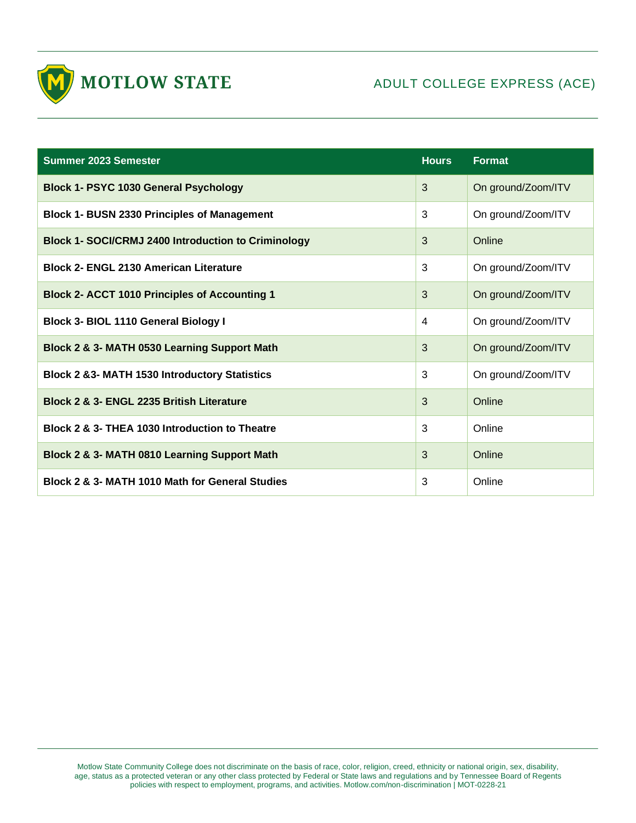

| <b>Summer 2023 Semester</b>                                | <b>Hours</b> | <b>Format</b>      |
|------------------------------------------------------------|--------------|--------------------|
| <b>Block 1- PSYC 1030 General Psychology</b>               | 3            | On ground/Zoom/ITV |
| <b>Block 1- BUSN 2330 Principles of Management</b>         | 3            | On ground/Zoom/ITV |
| <b>Block 1- SOCI/CRMJ 2400 Introduction to Criminology</b> | 3            | Online             |
| <b>Block 2- ENGL 2130 American Literature</b>              | 3            | On ground/Zoom/ITV |
| <b>Block 2- ACCT 1010 Principles of Accounting 1</b>       | 3            | On ground/Zoom/ITV |
| Block 3- BIOL 1110 General Biology I                       | 4            | On ground/Zoom/ITV |
| Block 2 & 3- MATH 0530 Learning Support Math               | 3            | On ground/Zoom/ITV |
| <b>Block 2 &amp;3- MATH 1530 Introductory Statistics</b>   | 3            | On ground/Zoom/ITV |
| Block 2 & 3- ENGL 2235 British Literature                  | 3            | Online             |
| Block 2 & 3- THEA 1030 Introduction to Theatre             | 3            | Online             |
| Block 2 & 3- MATH 0810 Learning Support Math               | 3            | Online             |
| Block 2 & 3- MATH 1010 Math for General Studies            | 3            | Online             |